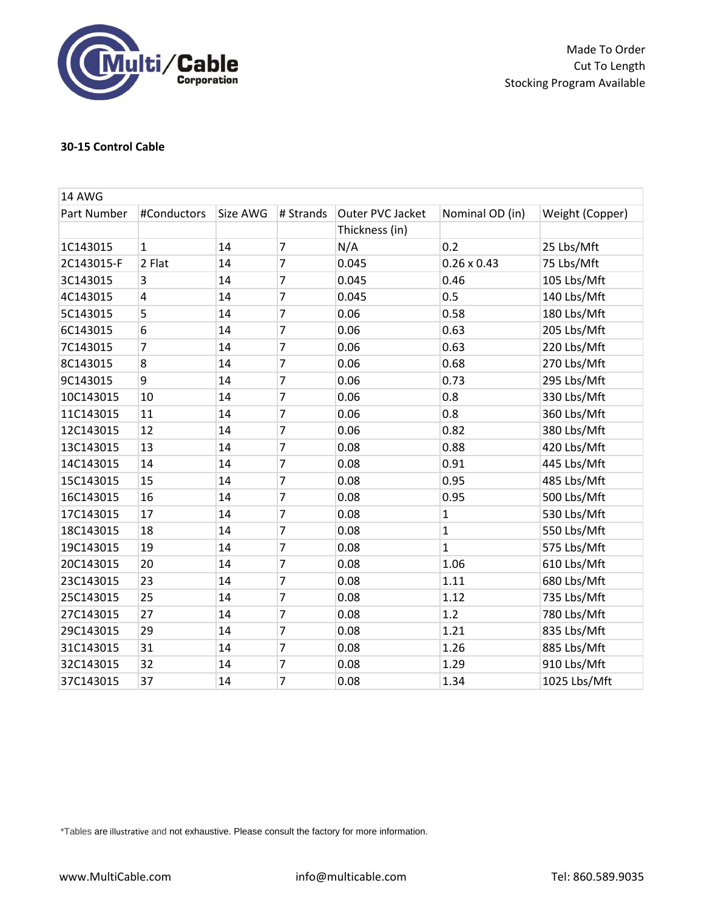

Made To Order Cut To Length Stocking Program Available

## **30-15 Control Cable**

| <b>14 AWG</b> |              |          |                |                  |                    |                 |
|---------------|--------------|----------|----------------|------------------|--------------------|-----------------|
| Part Number   | #Conductors  | Size AWG | # Strands      | Outer PVC Jacket | Nominal OD (in)    | Weight (Copper) |
|               |              |          |                | Thickness (in)   |                    |                 |
| 1C143015      | $\mathbf{1}$ | 14       | $\overline{7}$ | N/A              | 0.2                | 25 Lbs/Mft      |
| 2C143015-F    | 2 Flat       | 14       | $\overline{7}$ | 0.045            | $0.26 \times 0.43$ | 75 Lbs/Mft      |
| 3C143015      | 3            | 14       | $\overline{7}$ | 0.045            | 0.46               | 105 Lbs/Mft     |
| 4C143015      | 4            | 14       | $\overline{7}$ | 0.045            | 0.5                | 140 Lbs/Mft     |
| 5C143015      | 5            | 14       | $\overline{7}$ | 0.06             | 0.58               | 180 Lbs/Mft     |
| 6C143015      | 6            | 14       | $\overline{7}$ | 0.06             | 0.63               | 205 Lbs/Mft     |
| 7C143015      | 7            | 14       | $\overline{7}$ | 0.06             | 0.63               | 220 Lbs/Mft     |
| 8C143015      | 8            | 14       | $\overline{7}$ | 0.06             | 0.68               | 270 Lbs/Mft     |
| 9C143015      | 9            | 14       | $\overline{7}$ | 0.06             | 0.73               | 295 Lbs/Mft     |
| 10C143015     | 10           | 14       | $\overline{7}$ | 0.06             | 0.8                | 330 Lbs/Mft     |
| 11C143015     | 11           | 14       | $\overline{7}$ | 0.06             | 0.8                | 360 Lbs/Mft     |
| 12C143015     | 12           | 14       | $\overline{7}$ | 0.06             | 0.82               | 380 Lbs/Mft     |
| 13C143015     | 13           | 14       | $\overline{7}$ | 0.08             | 0.88               | 420 Lbs/Mft     |
| 14C143015     | 14           | 14       | $\overline{7}$ | 0.08             | 0.91               | 445 Lbs/Mft     |
| 15C143015     | 15           | 14       | $\overline{7}$ | 0.08             | 0.95               | 485 Lbs/Mft     |
| 16C143015     | 16           | 14       | $\overline{7}$ | 0.08             | 0.95               | 500 Lbs/Mft     |
| 17C143015     | 17           | 14       | $\overline{7}$ | 0.08             | $\mathbf{1}$       | 530 Lbs/Mft     |
| 18C143015     | 18           | 14       | $\overline{7}$ | 0.08             | $\mathbf{1}$       | 550 Lbs/Mft     |
| 19C143015     | 19           | 14       | $\overline{7}$ | 0.08             | $\mathbf{1}$       | 575 Lbs/Mft     |
| 20C143015     | 20           | 14       | $\overline{7}$ | 0.08             | 1.06               | 610 Lbs/Mft     |
| 23C143015     | 23           | 14       | $\overline{7}$ | 0.08             | 1.11               | 680 Lbs/Mft     |
| 25C143015     | 25           | 14       | $\overline{7}$ | 0.08             | 1.12               | 735 Lbs/Mft     |
| 27C143015     | 27           | 14       | $\overline{7}$ | 0.08             | 1.2                | 780 Lbs/Mft     |
| 29C143015     | 29           | 14       | $\overline{7}$ | 0.08             | 1.21               | 835 Lbs/Mft     |
| 31C143015     | 31           | 14       | $\overline{7}$ | 0.08             | 1.26               | 885 Lbs/Mft     |
| 32C143015     | 32           | 14       | $\overline{7}$ | 0.08             | 1.29               | 910 Lbs/Mft     |
| 37C143015     | 37           | 14       | 7              | 0.08             | 1.34               | 1025 Lbs/Mft    |

\*Tables are illustrative and not exhaustive. Please consult the factory for more information.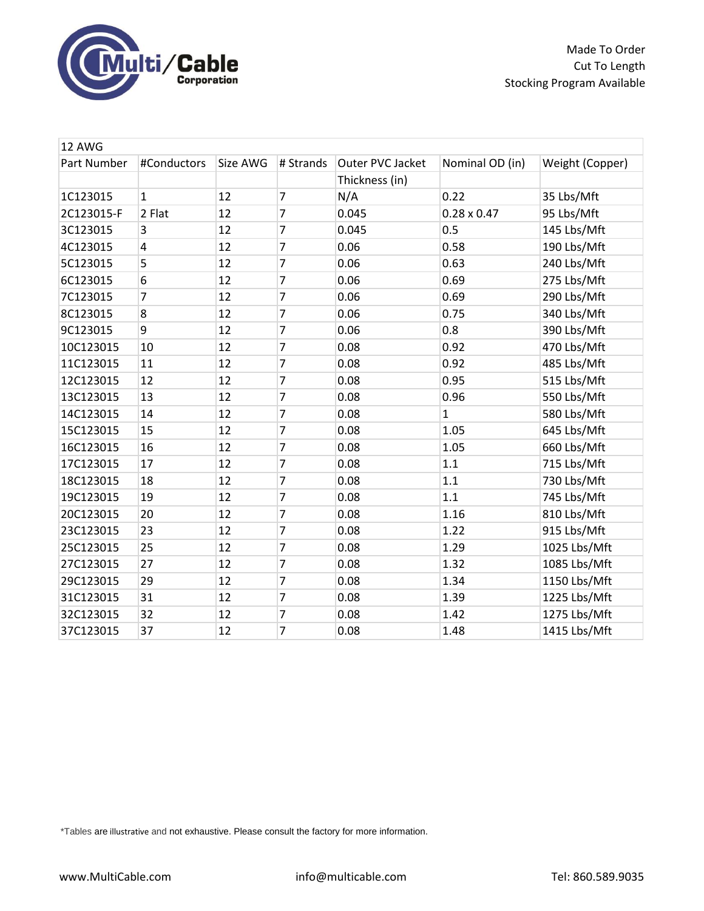

Made To Order Cut To Length Stocking Program Available

| 12 AWG      |                         |          |                |                  |                    |                 |  |
|-------------|-------------------------|----------|----------------|------------------|--------------------|-----------------|--|
| Part Number | #Conductors             | Size AWG | # Strands      | Outer PVC Jacket | Nominal OD (in)    | Weight (Copper) |  |
|             |                         |          |                | Thickness (in)   |                    |                 |  |
| 1C123015    | $\mathbf{1}$            | 12       | $\overline{7}$ | N/A              | 0.22               | 35 Lbs/Mft      |  |
| 2C123015-F  | 2 Flat                  | 12       | $\overline{7}$ | 0.045            | $0.28 \times 0.47$ | 95 Lbs/Mft      |  |
| 3C123015    | 3                       | 12       | 7              | 0.045            | 0.5                | 145 Lbs/Mft     |  |
| 4C123015    | $\overline{\mathbf{4}}$ | 12       | $\overline{7}$ | 0.06             | 0.58               | 190 Lbs/Mft     |  |
| 5C123015    | 5                       | 12       | 7              | 0.06             | 0.63               | 240 Lbs/Mft     |  |
| 6C123015    | 6                       | 12       | $\overline{7}$ | 0.06             | 0.69               | 275 Lbs/Mft     |  |
| 7C123015    | 7                       | 12       | $\overline{7}$ | 0.06             | 0.69               | 290 Lbs/Mft     |  |
| 8C123015    | 8                       | 12       | 7              | 0.06             | 0.75               | 340 Lbs/Mft     |  |
| 9C123015    | 9                       | 12       | $\overline{7}$ | 0.06             | 0.8                | 390 Lbs/Mft     |  |
| 10C123015   | 10                      | 12       | $\overline{7}$ | 0.08             | 0.92               | 470 Lbs/Mft     |  |
| 11C123015   | 11                      | 12       | 7              | 0.08             | 0.92               | 485 Lbs/Mft     |  |
| 12C123015   | 12                      | 12       | $\overline{7}$ | 0.08             | 0.95               | 515 Lbs/Mft     |  |
| 13C123015   | 13                      | 12       | $\overline{7}$ | 0.08             | 0.96               | 550 Lbs/Mft     |  |
| 14C123015   | 14                      | 12       | $\overline{7}$ | 0.08             | $\mathbf{1}$       | 580 Lbs/Mft     |  |
| 15C123015   | 15                      | 12       | $\overline{7}$ | 0.08             | 1.05               | 645 Lbs/Mft     |  |
| 16C123015   | 16                      | 12       | $\overline{7}$ | 0.08             | 1.05               | 660 Lbs/Mft     |  |
| 17C123015   | 17                      | 12       | $\overline{7}$ | 0.08             | 1.1                | 715 Lbs/Mft     |  |
| 18C123015   | 18                      | 12       | $\overline{7}$ | 0.08             | 1.1                | 730 Lbs/Mft     |  |
| 19C123015   | 19                      | 12       | $\overline{7}$ | 0.08             | 1.1                | 745 Lbs/Mft     |  |
| 20C123015   | 20                      | 12       | 7              | 0.08             | 1.16               | 810 Lbs/Mft     |  |
| 23C123015   | 23                      | 12       | $\overline{7}$ | 0.08             | 1.22               | 915 Lbs/Mft     |  |
| 25C123015   | 25                      | 12       | $\overline{7}$ | 0.08             | 1.29               | 1025 Lbs/Mft    |  |
| 27C123015   | 27                      | 12       | $\overline{7}$ | 0.08             | 1.32               | 1085 Lbs/Mft    |  |
| 29C123015   | 29                      | 12       | 7              | 0.08             | 1.34               | 1150 Lbs/Mft    |  |
| 31C123015   | 31                      | 12       | $\overline{7}$ | 0.08             | 1.39               | 1225 Lbs/Mft    |  |
| 32C123015   | 32                      | 12       | $\overline{7}$ | 0.08             | 1.42               | 1275 Lbs/Mft    |  |
| 37C123015   | 37                      | 12       | $\overline{7}$ | 0.08             | 1.48               | 1415 Lbs/Mft    |  |

\*Tables are illustrative and not exhaustive. Please consult the factory for more information.